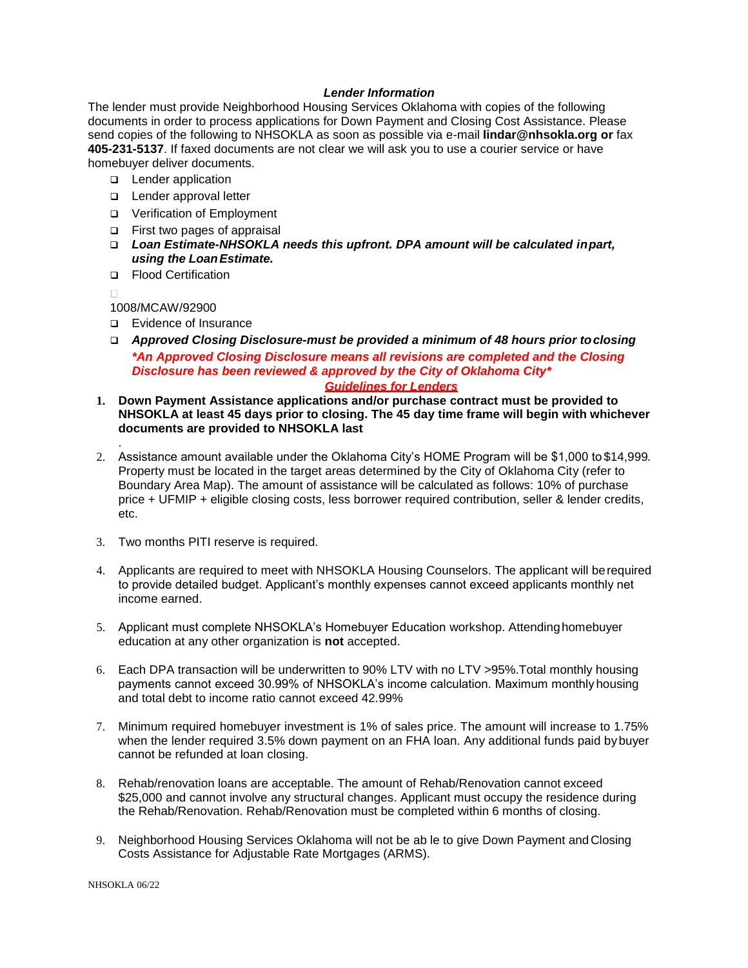# *Lender Information*

The lender must provide Neighborhood Housing Services Oklahoma with copies of the following documents in order to process applications for Down Payment and Closing Cost Assistance. Please send copies of the following to NHSOKLA as soon as possible via e-mail **[lindar@nhsokla.org o](mailto:lindar@nhsokc.org)r** fax **405-231-5137**. If faxed documents are not clear we will ask you to use a courier service or have homebuyer deliver documents.

- **Lender application**
- **Lender approval letter**
- Verification of Employment
- First two pages of appraisal
- *Loan Estimate-NHSOKLA needs this upfront. DPA amount will be calculated inpart, using the LoanEstimate.*
- □ Flood Certification

 $\Box$ 

.

1008/MCAW/92900

- **E**vidence of Insurance
- *Approved Closing Disclosure-must be provided a minimum of 48 hours prior toclosing \*An Approved Closing Disclosure means all revisions are completed and the Closing Disclosure has been reviewed & approved by the City of Oklahoma City\* Guidelines for Lenders*
- **1. Down Payment Assistance applications and/or purchase contract must be provided to NHSOKLA at least 45 days prior to closing. The 45 day time frame will begin with whichever documents are provided to NHSOKLA last**
- 2. Assistance amount available under the Oklahoma City's HOME Program will be \$1,000 to \$14,999*.*  Property must be located in the target areas determined by the City of Oklahoma City (refer to Boundary Area Map). The amount of assistance will be calculated as follows: 10% of purchase price + UFMIP + eligible closing costs, less borrower required contribution, seller & lender credits, etc.
- 3. Two months PITI reserve is required.
- 4. Applicants are required to meet with NHSOKLA Housing Counselors. The applicant will berequired to provide detailed budget. Applicant's monthly expenses cannot exceed applicants monthly net income earned.
- 5. Applicant must complete NHSOKLA's Homebuyer Education workshop. Attendinghomebuyer education at any other organization is **not** accepted.
- 6. Each DPA transaction will be underwritten to 90% LTV with no LTV >95%.Total monthly housing payments cannot exceed 30.99% of NHSOKLA's income calculation. Maximum monthlyhousing and total debt to income ratio cannot exceed 42.99%
- 7. Minimum required homebuyer investment is 1% of sales price. The amount will increase to 1.75% when the lender required 3.5% down payment on an FHA loan. Any additional funds paid by buyer cannot be refunded at loan closing.
- 8. Rehab/renovation loans are acceptable. The amount of Rehab/Renovation cannot exceed \$25,000 and cannot involve any structural changes. Applicant must occupy the residence during the Rehab/Renovation. Rehab/Renovation must be completed within 6 months of closing.
- 9. Neighborhood Housing Services Oklahoma will not be ab le to give Down Payment and Closing Costs Assistance for Adjustable Rate Mortgages (ARMS).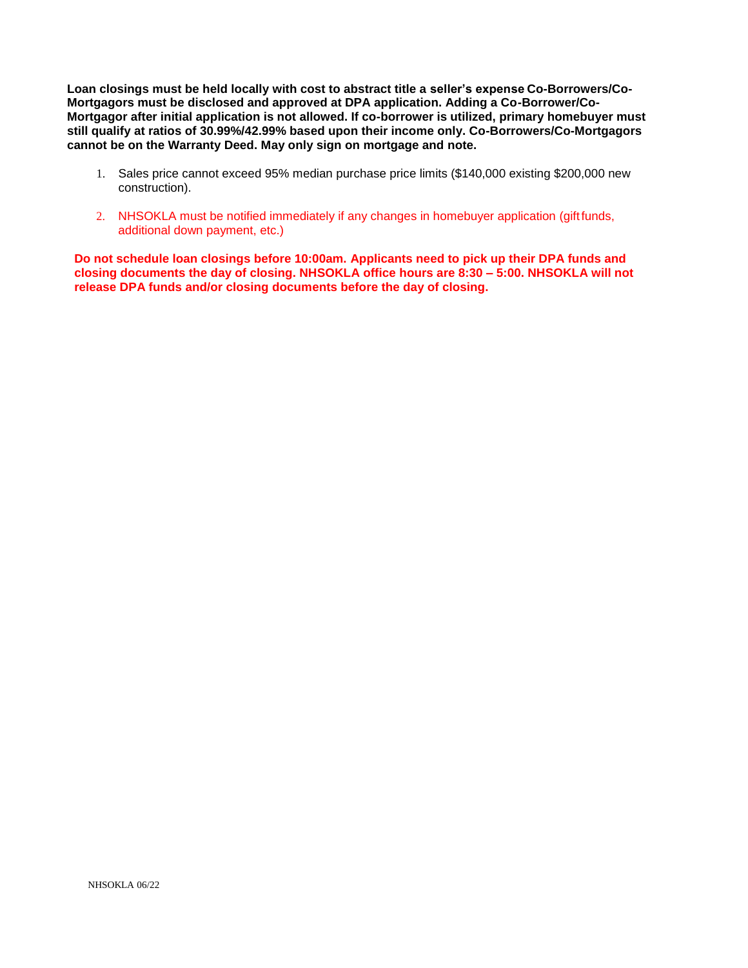**Loan closings must be held locally with cost to abstract title a seller's expense Co-Borrowers/Co-Mortgagors must be disclosed and approved at DPA application. Adding a Co-Borrower/Co-Mortgagor after initial application is not allowed. If co-borrower is utilized, primary homebuyer must still qualify at ratios of 30.99%/42.99% based upon their income only. Co-Borrowers/Co-Mortgagors cannot be on the Warranty Deed. May only sign on mortgage and note.**

- 1. Sales price cannot exceed 95% median purchase price limits (\$140,000 existing \$200,000 new construction).
- 2. NHSOKLA must be notified immediately if any changes in homebuyer application (giftfunds, additional down payment, etc.)

**Do not schedule loan closings before 10:00am. Applicants need to pick up their DPA funds and closing documents the day of closing. NHSOKLA office hours are 8:30 – 5:00. NHSOKLA will not release DPA funds and/or closing documents before the day of closing.**